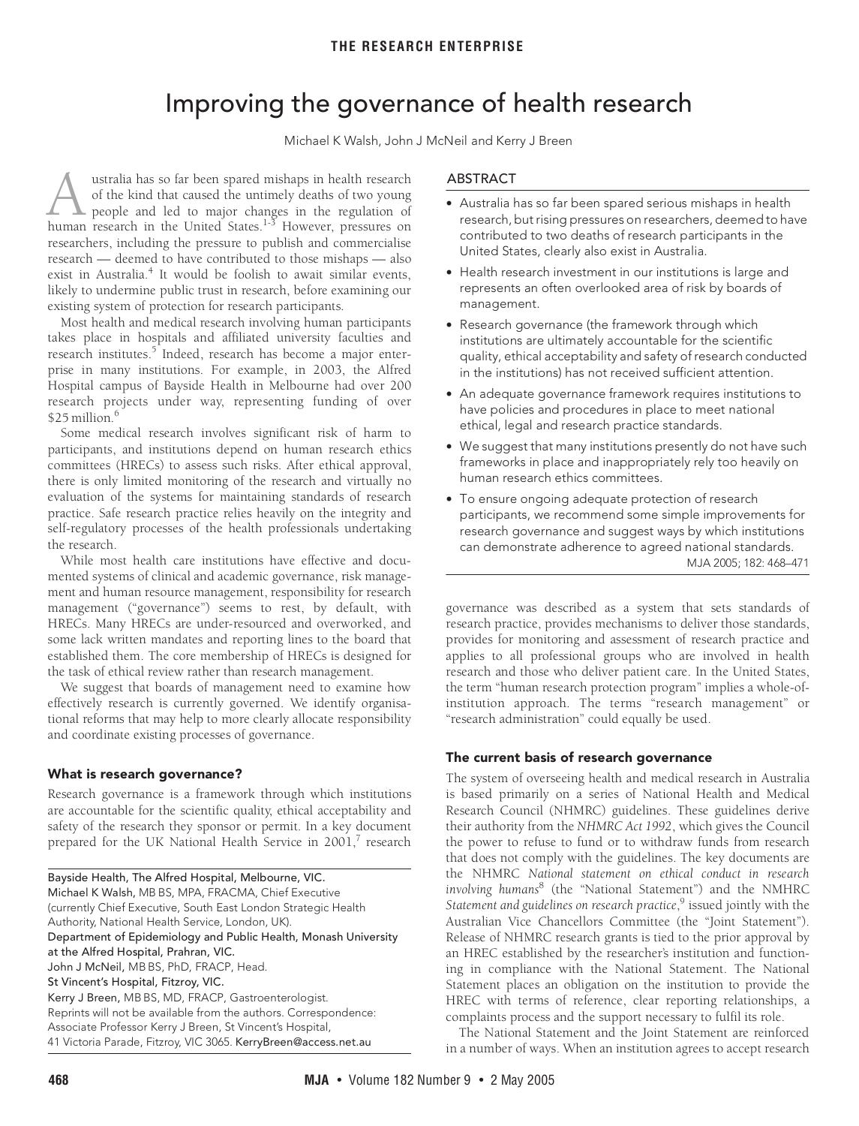# Improving the governance of health research

Michael K Walsh, John J McNeil and Kerry J Breen

<span id="page-0-0"></span>ustralia has so far been spared mishaps in health research of the kind that caused the untimely deaths of two young people and led to major changes in the regulation of **human** research in the United States.<sup>[1-](#page-3-0)[3](#page-3-1)</sup> However, pressures on the United States.<sup>1-3</sup> However, pressures on researchers, including the pressure to publish and commercialise research — deemed to have contributed to those mishaps — also exist in Australia.<sup>[4](#page-3-2)</sup> It would be foolish to await similar events, likely to undermine public trust in research, before examining our existing system of protection for research participants.

most neath and medical research involving numan participants<br>takes place in hospitals an[d af](#page-0-0)[filia](#page-3-8)ted university faculties and rakes place in hosphals and anniated dinversity laculties and<br>research institutes.<sup>5</sup> Indeed, research has become a major enter-CH MSHUUES. MUEEU, TESEAICH HAS DECOM prise in many institutions. For example, in 2003, the Alfred Hospital campus of Bayside Health in Melbourne had over 200 Most health and medical research involving human participants research projects under way, representing funding of over \$25 million.<sup>6</sup>

Some medical research involves significant risk of harm to participants, and institutions depend on human research ethics committees (HRECs) to assess such risks. After ethical approval, there is only limited monitoring of the research and virtually no evaluation of the systems for maintaining standards of research practice. Safe research practice relies heavily on the integrity and self-regulatory processes of the health professionals undertaking the research.

While most health care institutions have effective and documented systems of clinical and academic governance, risk management and human resource management, responsibility for research management ("governance") seems to rest, by default, with HRECs. Many HRECs are under-resourced and overworked, and some lack written mandates and reporting lines to the board that established them. The core membership of HRECs is designed for the task of ethical review rather than research management.

We suggest that boards of management need to examine how effectively research is currently governed. We identify organisational reforms that may help to more clearly allocate responsibility and coordinate existing processes of governance.

## **What is research governance?**

Research governance is a framework through which institutions are accountable for the scientific quality, ethical acceptability and safety of the research they sponsor or permit. In a key document prepared for the UK National Health Service in 2001, $^7$  $^7$  research

| Bayside Health, The Alfred Hospital, Melbourne, VIC.             |
|------------------------------------------------------------------|
| Michael K Walsh, MB BS, MPA, FRACMA, Chief Executive             |
| (currently Chief Executive, South East London Strategic Health   |
| Authority, National Health Service, London, UK).                 |
| Department of Epidemiology and Public Health, Monash University  |
| at the Alfred Hospital, Prahran, VIC.                            |
| John J McNeil, MB BS, PhD, FRACP, Head.                          |
| St Vincent's Hospital, Fitzroy, VIC.                             |
| Kerry J Breen, MB BS, MD, FRACP, Gastroenterologist.             |
| Reprints will not be available from the authors. Correspondence: |
| Associate Professor Kerry J Breen, St Vincent's Hospital,        |
| 41 Victoria Parade, Fitzroy, VIC 3065. KerryBreen@access.net.au  |

## ABSTRACT

- **•** Australia has so far been spared serious mishaps in health research, but rising pressures on researchers, deemed to have contributed to two deaths of research participants in the United States, clearly also exist in Australia.
- **•** Health research investment in our institutions is large and represents an often overlooked area of risk by boards of management.
- **•** Research governance (the framework through which institutions are ultimately accountable for the scientific quality, ethical acceptability and safety of research conducted in the institutions) has not received sufficient attention.
- **•** An adequate governance framework requires institutions to have policies and procedures in place to meet national ethical, legal and research practice standards.
- **•** We suggest that many institutions presently do not have such frameworks in place and inappropriately rely too heavily on human research ethics committees.
- **•** To ensure ongoing adequate protection of research participants, we recommend some simple improvements for research governance and suggest ways by which institutions MJA 2005; 182: 468–471 can demonstrate adherence to agreed national standards.

governance was described as a system that sets standards of research practice, provides mechanisms to deliver those standards, provides for monitoring and assessment of research practice and applies to all professional groups who are involved in health research and those who deliver patient care. In the United States, the term "human research protection program" implies a whole-ofinstitution approach. The terms "research management" or "research administration" could equally be used.

## **The current basis of research governance**

The system of overseeing health and medical research in Australia is based primarily on a series of National Health and Medical Research Council (NHMRC) guidelines. These guidelines derive their authority from the *NHMRC Act 1992*, which gives the Council the power to refuse to fund or to withdraw funds from research that does not comply with the guidelines. The key documents are the NHMRC *National statement on ethical conduct in research involving humans*[8](#page-3-6) (the "National Statement") and the NMHRC *Statement and guidelines on research practice*, [9](#page-3-7) issued jointly with the Australian Vice Chancellors Committee (the "Joint Statement"). Release of NHMRC research grants is tied to the prior approval by an HREC established by the researcher's institution and functioning in compliance with the National Statement. The National Statement places an obligation on the institution to provide the HREC with terms of reference, clear reporting relationships, a complaints process and the support necessary to fulfil its role.

The National Statement and the Joint Statement are reinforced in a number of ways. When an institution agrees to accept research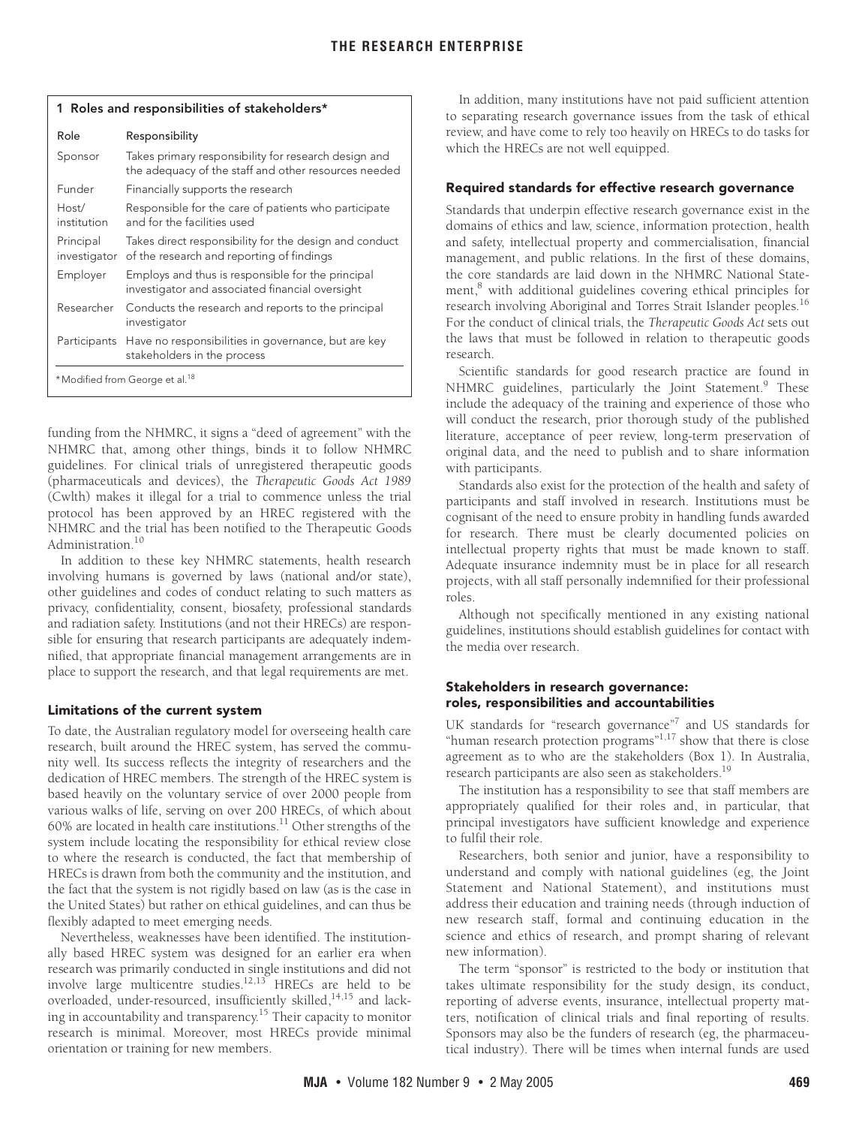| whose alla responsionalities or stalleries. |                                                                                                              |
|---------------------------------------------|--------------------------------------------------------------------------------------------------------------|
| Role                                        | Responsibility                                                                                               |
| Sponsor                                     | Takes primary responsibility for research design and<br>the adequacy of the staff and other resources needed |
| Funder                                      | Financially supports the research                                                                            |
| Host/<br>institution                        | Responsible for the care of patients who participate<br>and for the facilities used                          |
| Principal<br>investigator                   | Takes direct responsibility for the design and conduct<br>of the research and reporting of findings          |
| Employer                                    | Employs and thus is responsible for the principal<br>investigator and associated financial oversight         |
| Researcher                                  | Conducts the research and reports to the principal<br>investigator                                           |
| Participants                                | Have no responsibilities in governance, but are key<br>stakeholders in the process                           |
| *Modified from George et al. <sup>18</sup>  |                                                                                                              |

<span id="page-1-0"></span>**1 Roles and responsibilities of stakeholders\***

funding from the NHMRC, it signs a "deed of agreement" with the NHMRC that, among other things, binds it to follow NHMRC guidelines. For clinical trials of unregistered therapeutic goods (pharmaceuticals and devices), the *Therapeutic Goods Act 1989* (Cwlth) makes it illegal for a trial to commence unless the trial protocol has been approved by an HREC registered with the NHMRC and the trial has been notified to the Therapeutic Goods Administration.<sup>[10](#page-3-9)</sup>

In addition to these key NHMRC statements, health research involving humans is governed by laws (national and/or state), other guidelines and codes of conduct relating to such matters as privacy, confidentiality, consent, biosafety, professional standards and radiation safety. Institutions (and not their HRECs) are responsible for ensuring that research participants are adequately indemnified, that appropriate financial management arrangements are in place to support the research, and that legal requirements are met.

## **Limitations of the current system**

To date, the Australian regulatory model for overseeing health care research, built around the HREC system, has served the community well. Its success reflects the integrity of researchers and the dedication of HREC members. The strength of the HREC system is based heavily on the voluntary service of over 2000 people from various walks of life, serving on over 200 HRECs, of which about 60% are located in health care institutions[.11](#page-3-10) Other strengths of the system include locating the responsibility for ethical review close to where the research is conducted, the fact that membership of HRECs is drawn from both the community and the institution, and the fact that the system is not rigidly based on law (as is the case in the United States) but rather on ethical guidelines, and can thus be flexibly adapted to meet emerging needs.

Nevertheless, weaknesses have been identified. The institutionally based HREC system was designed for an earlier era when research was primarily conducted in single institutions and did not involve large multicentre studies.<sup>[12](#page-3-11)[,13](#page-3-12)</sup> HRECs are held to be overloaded, under-resourced, insufficiently skilled,  $^{14,15}$  $^{14,15}$  $^{14,15}$  and lacking in accountability and transparency[.15](#page-3-14) Their capacity to monitor research is minimal. Moreover, most HRECs provide minimal orientation or training for new members.

In addition, many institutions have not paid sufficient attention to separating research governance issues from the task of ethical review, and have come to rely too heavily on HRECs to do tasks for which the HRECs are not well equipped.

## **Required standards for effective research governance**

Standards that underpin effective research governance exist in the domains of ethics and law, science, information protection, health and safety, intellectual property and commercialisation, financial management, and public relations. In the first of these domains, the core standards are laid down in the NHMRC National Statement,<sup>8</sup> with additional guidelines covering ethical principles for research involving Aboriginal and Torres Strait Islander peoples.<sup>[16](#page-3-15)</sup> For the conduct of clinical trials, the *Therapeutic Goods Act* sets out the laws that must be followed in relation to therapeutic goods research.

Scientific standards for good research practice are found in NHMRC guidelines, particularly the Joint Statement.<sup>[9](#page-3-7)</sup> These include the adequacy of the training and experience of those who will conduct the research, prior thorough study of the published literature, acceptance of peer review, long-term preservation of original data, and the need to publish and to share information with participants.

Standards also exist for the protection of the health and safety of participants and staff involved in research. Institutions must be cognisant of the need to ensure probity in handling funds awarded for research. There must be clearly documented policies on intellectual property rights that must be made known to staff. Adequate insurance indemnity must be in place for all research projects, with all staff personally indemnified for their professional roles.

Although not specifically mentioned in any existing national guidelines, institutions should establish guidelines for contact with the media over research.

## **Stakeholders in research governance: roles, responsibilities and accountabilities**

UK standards for "research governance"<sup>[7](#page-3-5)</sup> and US standards for "human research protection programs"<sup>[1](#page-3-0),17</sup> show that there is close agreement as to who are the stakeholders ([Box 1\)](#page-1-0). In Australia, research participants are also seen as stakeholders.<sup>19</sup>

The institution has a responsibility to see that staff members are appropriately qualified for their roles and, in particular, that principal investigators have sufficient knowledge and experience to fulfil their role.

Researchers, both senior and junior, have a responsibility to understand and comply with national guidelines (eg, the Joint Statement and National Statement), and institutions must address their education and training needs (through induction of new research staff, formal and continuing education in the science and ethics of research, and prompt sharing of relevant new information).

The term "sponsor" is restricted to the body or institution that takes ultimate responsibility for the study design, its conduct, reporting of adverse events, insurance, intellectual property matters, notification of clinical trials and final reporting of results. Sponsors may also be the funders of research (eg, the pharmaceutical industry). There will be times when internal funds are used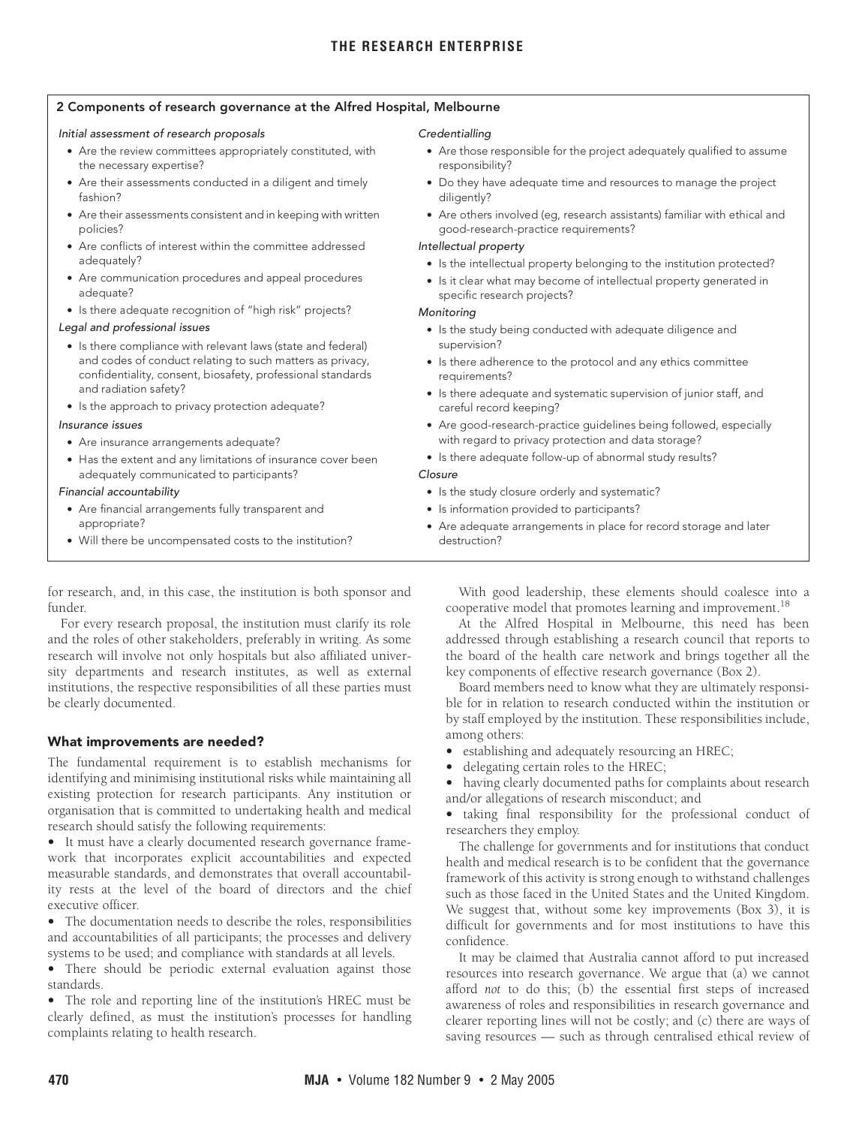## <span id="page-2-0"></span>**2 Components of research governance at the Alfred Hospital, Melbourne**

#### Initial assessment of research proposals

- **•** Are the review committees appropriately constituted, with the necessary expertise?
- **•** Are their assessments conducted in a diligent and timely fashion?
- **•** Are their assessments consistent and in keeping with written policies?
- **•** Are conflicts of interest within the committee addressed adequately?
- **•** Are communication procedures and appeal procedures adequate?
- **•** Is there adequate recognition of "high risk" projects?

## Legal and professional issues

- **•** Is there compliance with relevant laws (state and federal) and codes of conduct relating to such matters as privacy, confidentiality, consent, biosafety, professional standards and radiation safety?
- **•** Is the approach to privacy protection adequate?

#### Insurance issues

- **•** Are insurance arrangements adequate?
- **•** Has the extent and any limitations of insurance cover been adequately communicated to participants?

#### Financial accountability

- **•** Are financial arrangements fully transparent and appropriate?
- **•** Will there be uncompensated costs to the institution?

## for research, and, in this case, the institution is both sponsor and funder.

For every research proposal, the institution must clarify its role and the roles of other stakeholders, preferably in writing. As some research will involve not only hospitals but also affiliated university departments and research institutes, as well as external institutions, the respective responsibilities of all these parties must be clearly documented.

## **What improvements are needed?**

The fundamental requirement is to establish mechanisms for identifying and minimising institutional risks while maintaining all existing protection for research participants. Any institution or organisation that is committed to undertaking health and medical research should satisfy the following requirements:

**•** It must have a clearly documented research governance framework that incorporates explicit accountabilities and expected measurable standards, and demonstrates that overall accountability rests at the level of the board of directors and the chief executive officer.

**•** The documentation needs to describe the roles, responsibilities and accountabilities of all participants; the processes and delivery systems to be used; and compliance with standards at all levels.

**•** There should be periodic external evaluation against those standards.

**•** The role and reporting line of the institution's HREC must be clearly defined, as must the institution's processes for handling complaints relating to health research.

## **Credentialling**

- **•** Are those responsible for the project adequately qualified to assume responsibility?
- **•** Do they have adequate time and resources to manage the project diligently?
- **•** Are others involved (eg, research assistants) familiar with ethical and good-research-practice requirements?

## Intellectual property

- **•** Is the intellectual property belonging to the institution protected?
- **•** Is it clear what may become of intellectual property generated in specific research projects?

## Monitoring

- **•** Is the study being conducted with adequate diligence and supervision?
- **•** Is there adherence to the protocol and any ethics committee requirements?
- **•** Is there adequate and systematic supervision of junior staff, and careful record keeping?
- **•** Are good-research-practice guidelines being followed, especially with regard to privacy protection and data storage?
- **•** Is there adequate follow-up of abnormal study results?

## Closure

- **•** Is the study closure orderly and systematic?
- **•** Is information provided to participants?
- **•** Are adequate arrangements in place for record storage and later destruction?

With good leadership, these elements should coalesce into a cooperative model that promotes learning and improvement.<sup>[18](#page-3-17)</sup>

At the Alfred Hospital in Melbourne, this need has been addressed through establishing a research council that reports to the board of the health care network and brings together all the key components of effective research governance ([Box 2\)](#page-2-0).

Board members need to know what they are ultimately responsible for in relation to research conducted within the institution or by staff employed by the institution. These responsibilities include, among others:

- **•** establishing and adequately resourcing an HREC;
- **•** delegating certain roles to the HREC;
- **•** having clearly documented paths for complaints about research and/or allegations of research misconduct; and

**•** taking final responsibility for the professional conduct of researchers they employ.

The challenge for governments and for institutions that conduct health and medical research is to be confident that the governance framework of this activity is strong enough to withstand challenges such as those faced in the United States and the United Kingdom. We suggest that, without some key improvements [\(Box 3\)](#page-3-18), it is difficult for governments and for most institutions to have this confidence.

It may be claimed that Australia cannot afford to put increased resources into research governance. We argue that (a) we cannot afford *not* to do this; (b) the essential first steps of increased awareness of roles and responsibilities in research governance and clearer reporting lines will not be costly; and (c) there are ways of saving resources — such as through centralised ethical review of